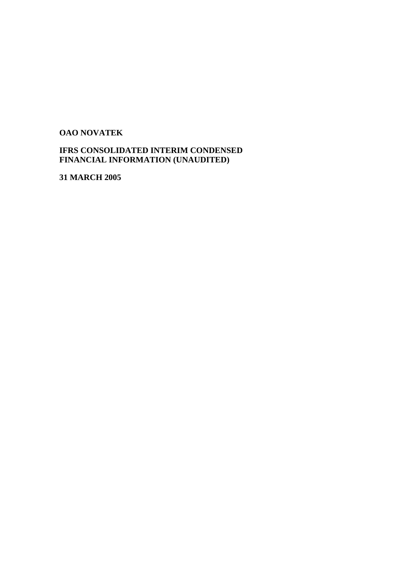# **OAO NOVATEK**

# **IFRS CONSOLIDATED INTERIM CONDENSED FINANCIAL INFORMATION (UNAUDITED)**

**31 MARCH 2005**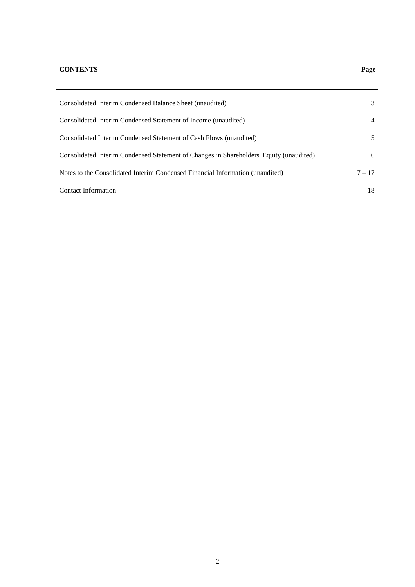# **CONTENTS Page**

| Consolidated Interim Condensed Balance Sheet (unaudited)                                | 3        |
|-----------------------------------------------------------------------------------------|----------|
| Consolidated Interim Condensed Statement of Income (unaudited)                          | 4        |
| Consolidated Interim Condensed Statement of Cash Flows (unaudited)                      | 5        |
| Consolidated Interim Condensed Statement of Changes in Shareholders' Equity (unaudited) | 6        |
| Notes to the Consolidated Interim Condensed Financial Information (unaudited)           | $7 - 17$ |
| <b>Contact Information</b>                                                              | 18       |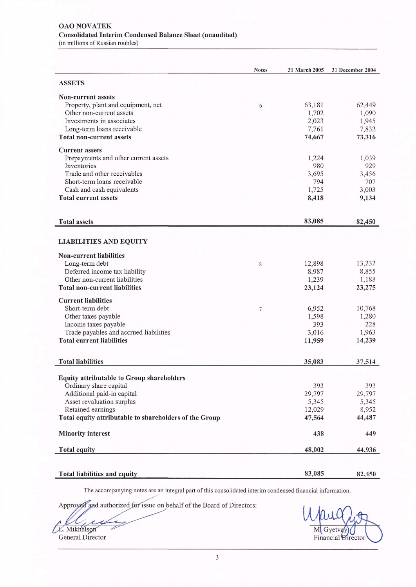#### **OAO NOVATEK Consolidated Interim Condensed Balance Sheet (unaudited)** (in millions of Russian roubles)

|                                                        | <b>Notes</b>     | 31 March 2005 | 31 December 2004 |
|--------------------------------------------------------|------------------|---------------|------------------|
| <b>ASSETS</b>                                          |                  |               |                  |
| <b>Non-current assets</b>                              |                  |               |                  |
| Property, plant and equipment, net                     | 6                | 63,181        | 62,449           |
| Other non-current assets                               |                  | 1,702         | 1,090            |
| Investments in associates                              |                  | 2,023         | 1,945            |
| Long-term loans receivable                             |                  | 7,761         | 7,832            |
| <b>Total non-current assets</b>                        |                  | 74,667        | 73,316           |
| <b>Current assets</b>                                  |                  |               |                  |
| Prepayments and other current assets                   |                  | 1,224         | 1,039            |
| Inventories                                            |                  | 980           | 929              |
| Trade and other receivables                            |                  | 3,695         | 3,456            |
| Short-term loans receivable                            |                  | 794           | 707              |
| Cash and cash equivalents                              |                  | 1,725         | 3,003            |
| <b>Total current assets</b>                            |                  | 8,418         | 9,134            |
|                                                        |                  |               |                  |
| <b>Total assets</b>                                    |                  | 83,085        | 82,450           |
|                                                        |                  |               |                  |
| <b>LIABILITIES AND EQUITY</b>                          |                  |               |                  |
| <b>Non-current liabilities</b>                         |                  |               |                  |
| Long-term debt                                         | 8                | 12,898        | 13,232           |
| Deferred income tax liability                          |                  | 8,987         | 8,855            |
| Other non-current liabilities                          |                  | 1,239         | 1,188            |
| <b>Total non-current liabilities</b>                   |                  | 23,124        | 23,275           |
| <b>Current liabilities</b>                             |                  |               |                  |
| Short-term debt                                        | $\boldsymbol{7}$ | 6,952         | 10,768           |
| Other taxes payable                                    |                  | 1,598         | 1,280            |
| Income taxes payable                                   |                  | 393           | 228              |
| Trade payables and accrued liabilities                 |                  | 3,016         | 1,963            |
| <b>Total current liabilities</b>                       |                  | 11,959        | 14,239           |
|                                                        |                  |               |                  |
| <b>Total liabilities</b>                               |                  | 35,083        | 37,514           |
| <b>Equity attributable to Group shareholders</b>       |                  |               |                  |
| Ordinary share capital                                 |                  | 393           | 393              |
| Additional paid-in capital                             |                  | 29,797        | 29,797           |
| Asset revaluation surplus                              |                  | 5,345         | 5,345            |
| Retained earnings                                      |                  | 12,029        | 8,952            |
| Total equity attributable to shareholders of the Group |                  | 47,564        | 44,487           |
| <b>Minority interest</b>                               |                  | 438           | 449              |
| <b>Total equity</b>                                    |                  | 48,002        | 44,936           |
|                                                        |                  |               |                  |
|                                                        |                  |               |                  |
| Total liabilities and equity                           |                  | 83,085        | 82,450           |

The accompanying notes are an integral part of this consolidated interim condensed financial information.

Approyed and authorized for issue on behalf of the Board of Directors:

L. Mikhelson

M Gyetvay Financial Directo

General Director

 $\overline{3}$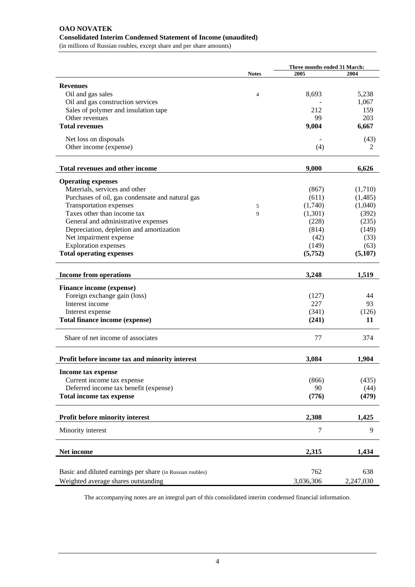# **OAO NOVATEK Consolidated Interim Condensed Statement of Income (unaudited)**

(in millions of Russian roubles, except share and per share amounts)

|                                                           |                | Three months ended 31 March: |           |
|-----------------------------------------------------------|----------------|------------------------------|-----------|
|                                                           | <b>Notes</b>   | 2005                         | 2004      |
| <b>Revenues</b>                                           |                |                              |           |
| Oil and gas sales                                         | $\overline{4}$ | 8,693                        | 5,238     |
| Oil and gas construction services                         |                |                              | 1,067     |
| Sales of polymer and insulation tape                      |                | 212                          | 159       |
| Other revenues                                            |                | 99                           | 203       |
| <b>Total revenues</b>                                     |                | 9,004                        | 6,667     |
|                                                           |                |                              |           |
| Net loss on disposals                                     |                |                              | (43)      |
| Other income (expense)                                    |                | (4)                          | 2         |
| <b>Total revenues and other income</b>                    |                | 9,000                        | 6,626     |
| <b>Operating expenses</b>                                 |                |                              |           |
| Materials, services and other                             |                | (867)                        | (1,710)   |
| Purchases of oil, gas condensate and natural gas          |                | (611)                        | (1,485)   |
| Transportation expenses                                   |                | (1,740)                      | (1,040)   |
| Taxes other than income tax                               | 5<br>9         | (1,301)                      | (392)     |
| General and administrative expenses                       |                | (228)                        | (235)     |
| Depreciation, depletion and amortization                  |                | (814)                        | (149)     |
| Net impairment expense                                    |                | (42)                         | (33)      |
| <b>Exploration</b> expenses                               |                | (149)                        | (63)      |
| <b>Total operating expenses</b>                           |                | (5,752)                      | (5,107)   |
|                                                           |                |                              |           |
| <b>Income from operations</b>                             |                | 3,248                        | 1,519     |
|                                                           |                |                              |           |
| <b>Finance income (expense)</b>                           |                |                              |           |
| Foreign exchange gain (loss)                              |                | (127)<br>227                 | 44        |
| Interest income                                           |                |                              | 93        |
| Interest expense                                          |                | (341)                        | (126)     |
| Total finance income (expense)                            |                | (241)                        | 11        |
| Share of net income of associates                         |                | 77                           | 374       |
| Profit before income tax and minority interest            |                | 3,084                        | 1,904     |
| Income tax expense                                        |                |                              |           |
| Current income tax expense                                |                | (866)                        | (435)     |
| Deferred income tax benefit (expense)                     |                | 90                           | (44)      |
| Total income tax expense                                  |                | (776)                        | (479)     |
|                                                           |                |                              |           |
| Profit before minority interest                           |                | 2,308                        | 1,425     |
| Minority interest                                         |                | 7                            | 9         |
| Net income                                                |                | 2,315                        | 1,434     |
|                                                           |                |                              |           |
| Basic and diluted earnings per share (in Russian roubles) |                | 762                          | 638       |
| Weighted average shares outstanding                       |                | 3,036,306                    | 2,247,030 |

The accompanying notes are an integral part of this consolidated interim condensed financial information.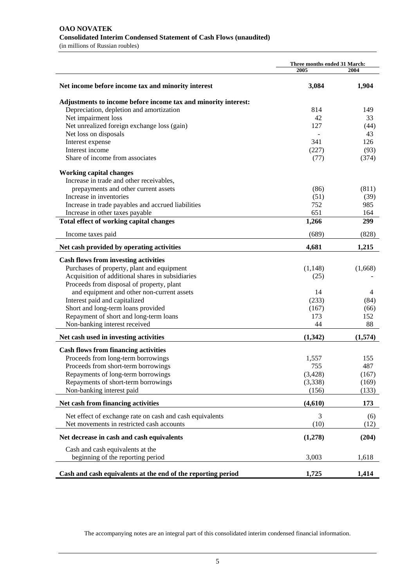#### **OAO NOVATEK Consolidated Interim Condensed Statement of Cash Flows (unaudited)**  (in millions of Russian roubles)

|                                                                | Three months ended 31 March: |         |
|----------------------------------------------------------------|------------------------------|---------|
|                                                                | 2005                         | 2004    |
| Net income before income tax and minority interest             | 3,084                        | 1,904   |
| Adjustments to income before income tax and minority interest: |                              |         |
| Depreciation, depletion and amortization                       | 814                          | 149     |
| Net impairment loss                                            | 42                           | 33      |
| Net unrealized foreign exchange loss (gain)                    | 127                          | (44)    |
| Net loss on disposals                                          |                              | 43      |
| Interest expense                                               | 341                          | 126     |
| Interest income                                                | (227)                        | (93)    |
| Share of income from associates                                | (77)                         | (374)   |
| <b>Working capital changes</b>                                 |                              |         |
| Increase in trade and other receivables,                       |                              |         |
| prepayments and other current assets                           | (86)                         | (811)   |
| Increase in inventories                                        | (51)                         | (39)    |
| Increase in trade payables and accrued liabilities             | 752                          | 985     |
| Increase in other taxes payable                                | 651                          | 164     |
| Total effect of working capital changes                        | 1,266                        | 299     |
| Income taxes paid                                              | (689)                        | (828)   |
| Net cash provided by operating activities                      | 4,681                        | 1,215   |
| <b>Cash flows from investing activities</b>                    |                              |         |
| Purchases of property, plant and equipment                     | (1,148)                      | (1,668) |
| Acquisition of additional shares in subsidiaries               | (25)                         |         |
| Proceeds from disposal of property, plant                      |                              |         |
| and equipment and other non-current assets                     | 14                           | 4       |
| Interest paid and capitalized                                  | (233)                        | (84)    |
| Short and long-term loans provided                             | (167)                        | (66)    |
| Repayment of short and long-term loans                         | 173                          | 152     |
| Non-banking interest received                                  | 44                           | 88      |
| Net cash used in investing activities                          | (1, 342)                     | (1,574) |
| <b>Cash flows from financing activities</b>                    |                              |         |
| Proceeds from long-term borrowings                             | 1,557                        | 155     |
| Proceeds from short-term borrowings                            | 755                          | 487     |
| Repayments of long-term borrowings                             | (3, 428)                     | (167)   |
| Repayments of short-term borrowings                            | (3,338)                      | (169)   |
| Non-banking interest paid                                      | (156)                        | (133)   |
| Net cash from financing activities                             | (4,610)                      | 173     |
| Net effect of exchange rate on cash and cash equivalents       | 3                            | (6)     |
| Net movements in restricted cash accounts                      | (10)                         | (12)    |
| Net decrease in cash and cash equivalents                      | (1,278)                      | (204)   |
| Cash and cash equivalents at the                               |                              |         |
| beginning of the reporting period                              | 3,003                        | 1,618   |
| Cash and cash equivalents at the end of the reporting period   | 1,725                        | 1,414   |

The accompanying notes are an integral part of this consolidated interim condensed financial information.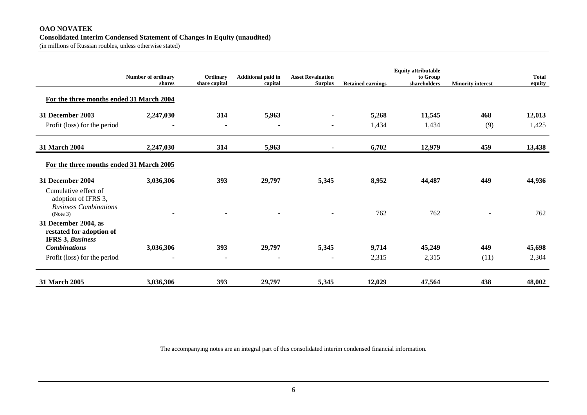#### **OAO NOVATEK Consolidated Interim Condensed Statement of Changes in Equity (unaudited)**

(in millions of Russian roubles, unless otherwise stated)

|                                                                                         | <b>Number of ordinary</b><br>shares | Ordinary<br>share capital | <b>Additional paid in</b><br>capital | <b>Asset Revaluation</b><br><b>Surplus</b> | <b>Retained earnings</b> | <b>Equity attributable</b><br>to Group<br>shareholders | <b>Minority interest</b> | <b>Total</b><br>equity |
|-----------------------------------------------------------------------------------------|-------------------------------------|---------------------------|--------------------------------------|--------------------------------------------|--------------------------|--------------------------------------------------------|--------------------------|------------------------|
| For the three months ended 31 March 2004                                                |                                     |                           |                                      |                                            |                          |                                                        |                          |                        |
| 31 December 2003                                                                        | 2,247,030                           | 314                       | 5,963                                | ٠                                          | 5,268                    | 11,545                                                 | 468                      | 12,013                 |
| Profit (loss) for the period                                                            | $\blacksquare$                      | ٠                         | $\blacksquare$                       | $\blacksquare$                             | 1,434                    | 1,434                                                  | (9)                      | 1,425                  |
| 31 March 2004                                                                           | 2,247,030                           | 314                       | 5,963                                | ٠                                          | 6,702                    | 12,979                                                 | 459                      | 13,438                 |
| For the three months ended 31 March 2005                                                |                                     |                           |                                      |                                            |                          |                                                        |                          |                        |
| 31 December 2004                                                                        | 3,036,306                           | 393                       | 29,797                               | 5,345                                      | 8,952                    | 44,487                                                 | 449                      | 44,936                 |
| Cumulative effect of<br>adoption of IFRS 3,<br><b>Business Combinations</b><br>(Note 3) |                                     |                           |                                      |                                            | 762                      | 762                                                    |                          | 762                    |
| 31 December 2004, as<br>restated for adoption of<br><b>IFRS 3, Business</b>             |                                     |                           |                                      |                                            |                          |                                                        |                          |                        |
| <b>Combinations</b>                                                                     | 3,036,306                           | 393                       | 29,797                               | 5,345                                      | 9,714                    | 45,249                                                 | 449                      | 45,698                 |
| Profit (loss) for the period                                                            | $\blacksquare$                      | $\blacksquare$            | $\overline{\phantom{a}}$             | $\overline{\phantom{a}}$                   | 2,315                    | 2,315                                                  | (11)                     | 2,304                  |
| 31 March 2005                                                                           | 3,036,306                           | 393                       | 29,797                               | 5,345                                      | 12,029                   | 47,564                                                 | 438                      | 48,002                 |

The accompanying notes are an integral part of this consolidated interim condensed financial information.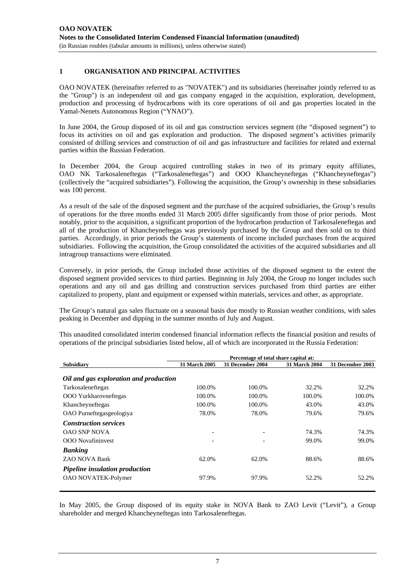## **1 ORGANISATION AND PRINCIPAL ACTIVITIES**

OAO NOVATEK (hereinafter referred to as "NOVATEK") and its subsidiaries (hereinafter jointly referred to as the "Group") is an independent oil and gas company engaged in the acquisition, exploration, development, production and processing of hydrocarbons with its core operations of oil and gas properties located in the Yamal-Nenets Autonomous Region ("YNAO").

In June 2004, the Group disposed of its oil and gas construction services segment (the "disposed segment") to focus its activities on oil and gas exploration and production. The disposed segment's activities primarily consisted of drilling services and construction of oil and gas infrastructure and facilities for related and external parties within the Russian Federation.

In December 2004, the Group acquired controlling stakes in two of its primary equity affiliates, OAO NK Tarkosaleneftegas ("Tarkosaleneftegas") and OOO Khancheyneftegas ("Khancheyneftegas") (collectively the "acquired subsidiaries"). Following the acquisition, the Group's ownership in these subsidiaries was 100 percent.

As a result of the sale of the disposed segment and the purchase of the acquired subsidiaries, the Group's results of operations for the three months ended 31 March 2005 differ significantly from those of prior periods. Most notably, prior to the acquisition, a significant proportion of the hydrocarbon production of Tarkosaleneftegas and all of the production of Khancheyneftegas was previously purchased by the Group and then sold on to third parties. Accordingly, in prior periods the Group's statements of income included purchases from the acquired subsidiaries. Following the acquisition, the Group consolidated the activities of the acquired subsidiaries and all intragroup transactions were eliminated.

Conversely, in prior periods, the Group included those activities of the disposed segment to the extent the disposed segment provided services to third parties. Beginning in July 2004, the Group no longer includes such operations and any oil and gas drilling and construction services purchased from third parties are either capitalized to property, plant and equipment or expensed within materials, services and other, as appropriate.

The Group's natural gas sales fluctuate on a seasonal basis due mostly to Russian weather conditions, with sales peaking in December and dipping in the summer months of July and August.

|                                        | Percentage of total share capital at: |                  |                      |                  |
|----------------------------------------|---------------------------------------|------------------|----------------------|------------------|
| <b>Subsidiary</b>                      | 31 March 2005                         | 31 December 2004 | <b>31 March 2004</b> | 31 December 2003 |
| Oil and gas exploration and production |                                       |                  |                      |                  |
| Tarkosaleneftegas                      | 100.0%                                | 100.0%           | 32.2%                | 32.2%            |
| <b>OOO</b> Yurkharovneftegas           | 100.0%                                | 100.0%           | 100.0%               | 100.0%           |
| Khancheyneftegas                       | 100.0%                                | 100.0%           | 43.0%                | 43.0%            |
| OAO Purneftegasgeologiya               | 78.0%                                 | 78.0%            | 79.6%                | 79.6%            |
| <b>Construction services</b>           |                                       |                  |                      |                  |
| <b>OAO SNP NOVA</b>                    |                                       | -                | 74.3%                | 74.3%            |
| <b>OOO</b> Novafininvest               |                                       |                  | 99.0%                | 99.0%            |
| <b>Banking</b>                         |                                       |                  |                      |                  |
| ZAO NOVA Bank                          | 62.0%                                 | 62.0%            | 88.6%                | 88.6%            |
| <b>Pipeline insulation production</b>  |                                       |                  |                      |                  |
| <b>OAO NOVATEK-Polymer</b>             | 97.9%                                 | 97.9%            | 52.2%                | 52.2%            |

This unaudited consolidated interim condensed financial information reflects the financial position and results of operations of the principal subsidiaries listed below, all of which are incorporated in the Russia Federation:

In May 2005, the Group disposed of its equity stake in NOVA Bank to ZAO Levit ("Levit"), a Group shareholder and merged Khancheyneftegas into Tarkosaleneftegas.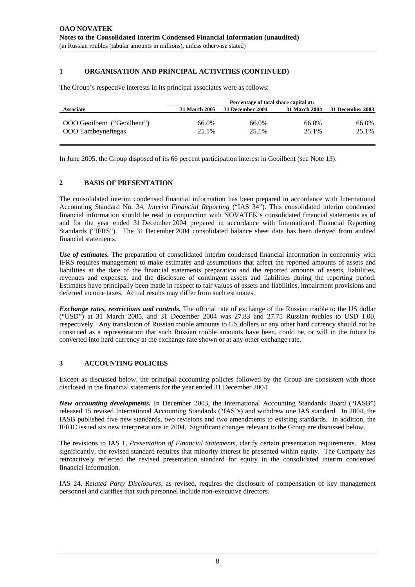# **1 ORGANISATION AND PRINCIPAL ACTIVITIES (CONTINUED)**

The Group's respective interests in its principal associates were as follows:

|                             | Percentage of total share capital at: |                  |                      |                  |
|-----------------------------|---------------------------------------|------------------|----------------------|------------------|
| <b>Associate</b>            | <b>31 March 2005</b>                  | 31 December 2004 | <b>31 March 2004</b> | 31 December 2003 |
|                             |                                       |                  |                      |                  |
| OOO Geoilbent ("Geoilbent") | 66.0%                                 | 66.0%            | 66.0%                | 66.0%            |
| OOO Tambeyneftegas          | 25.1%                                 | 25.1%            | 25.1%                | 25.1%            |
|                             |                                       |                  |                      |                  |

In June 2005, the Group disposed of its 66 percent participation interest in Geoilbent (see Note 13).

#### **2 BASIS OF PRESENTATION**

The consolidated interim condensed financial information has been prepared in accordance with International Accounting Standard No. 34, *Interim Financial Reporting* ("IAS 34"). This consolidated interim condensed financial information should be read in conjunction with NOVATEK's consolidated financial statements as of and for the year ended 31 December 2004 prepared in accordance with International Financial Reporting Standards ("IFRS"). The 31 December 2004 consolidated balance sheet data has been derived from audited financial statements.

*Use of estimates.* The preparation of consolidated interim condensed financial information in conformity with IFRS requires management to make estimates and assumptions that affect the reported amounts of assets and liabilities at the date of the financial statements preparation and the reported amounts of assets, liabilities, revenues and expenses, and the disclosure of contingent assets and liabilities during the reporting period. Estimates have principally been made in respect to fair values of assets and liabilities, impairment provisions and deferred income taxes. Actual results may differ from such estimates.

*Exchange rates, restrictions and controls.* The official rate of exchange of the Russian rouble to the US dollar ("USD") at 31 March 2005, and 31 December 2004 was 27.83 and 27.75 Russian roubles to USD 1.00, respectively. Any translation of Russian rouble amounts to US dollars or any other hard currency should not be construed as a representation that such Russian rouble amounts have been, could be, or will in the future be converted into hard currency at the exchange rate shown or at any other exchange rate.

#### **3 ACCOUNTING POLICIES**

Except as discussed below, the principal accounting policies followed by the Group are consistent with those disclosed in the financial statements for the year ended 31 December 2004.

*New accounting developments.* In December 2003, the International Accounting Standards Board ("IASB") released 15 revised International Accounting Standards ("IAS"s) and withdrew one IAS standard. In 2004, the IASB published five new standards, two revisions and two amendments to existing standards. In addition, the IFRIC issued six new interpretations in 2004. Significant changes relevant to the Group are discussed below.

The revisions to IAS 1, *Presentation of Financial Statements*, clarify certain presentation requirements. Most significantly, the revised standard requires that minority interest be presented within equity. The Company has retroactively reflected the revised presentation standard for equity in the consolidated interim condensed financial information.

IAS 24, *Related Party Disclosures*, as revised, requires the disclosure of compensation of key management personnel and clarifies that such personnel include non-executive directors.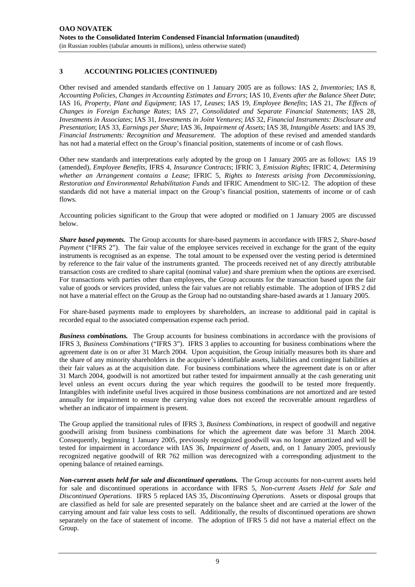# **3 ACCOUNTING POLICIES (CONTINUED)**

Other revised and amended standards effective on 1 January 2005 are as follows: IAS 2, *Inventories*; IAS 8, *Accounting Policies, Changes in Accounting Estimates and Errors*; IAS 10, *Events after the Balance Sheet Date*; IAS 16, *Property, Plant and Equipment*; IAS 17, *Leases*; IAS 19, *Employee Benefits*; IAS 21, *The Effects of Changes in Foreign Exchange Rates*; IAS 27, *Consolidated and Separate Financial Statements*; IAS 28, *Investments in Associates*; IAS 31, *Investments in Joint Ventures*; *IAS* 32, *Financial Instruments: Disclosure and Presentation*; IAS 33, *Earnings per Share*; IAS 36, *Impairment of Assets*; IAS 38, *Intangible Assets*: and IAS 39, *Financial Instruments: Recognition and Measurement*. The adoption of these revised and amended standards has not had a material effect on the Group's financial position, statements of income or of cash flows.

Other new standards and interpretations early adopted by the group on 1 January 2005 are as follows: IAS 19 (amended), *Employee Benefits,* IFRS 4, *Insurance Contracts*; IFRIC 3, *Emission Rights*; IFRIC 4, *Determining whether an Arrangement contains a Lease*; IFRIC 5, *Rights to Interests arising from Decommissioning, Restoration and Environmental Rehabilitation Funds* and IFRIC Amendment to SIC-12. The adoption of these standards did not have a material impact on the Group's financial position, statements of income or of cash flows.

Accounting policies significant to the Group that were adopted or modified on 1 January 2005 are discussed below.

*Share based payments.* The Group accounts for share-based payments in accordance with IFRS 2, *Share-based Payment* ("IFRS 2"). The fair value of the employee services received in exchange for the grant of the equity instruments is recognised as an expense. The total amount to be expensed over the vesting period is determined by reference to the fair value of the instruments granted. The proceeds received net of any directly attributable transaction costs are credited to share capital (nominal value) and share premium when the options are exercised. For transactions with parties other than employees, the Group accounts for the transaction based upon the fair value of goods or services provided, unless the fair values are not reliably estimable. The adoption of IFRS 2 did not have a material effect on the Group as the Group had no outstanding share-based awards at 1 January 2005.

For share-based payments made to employees by shareholders, an increase to additional paid in capital is recorded equal to the associated compensation expense each period.

*Business combinations.* The Group accounts for business combinations in accordance with the provisions of IFRS 3, *Business Combinations* ("IFRS 3"). IFRS 3 applies to accounting for business combinations where the agreement date is on or after 31 March 2004. Upon acquisition, the Group initially measures both its share and the share of any minority shareholders in the acquiree's identifiable assets, liabilities and contingent liabilities at their fair values as at the acquisition date. For business combinations where the agreement date is on or after 31 March 2004, goodwill is not amortized but rather tested for impairment annually at the cash generating unit level unless an event occurs during the year which requires the goodwill to be tested more frequently. Intangibles with indefinite useful lives acquired in those business combinations are not amortized and are tested annually for impairment to ensure the carrying value does not exceed the recoverable amount regardless of whether an indicator of impairment is present.

The Group applied the transitional rules of IFRS 3, *Business Combinations,* in respect of goodwill and negative goodwill arising from business combinations for which the agreement date was before 31 March 2004. Consequently, beginning 1 January 2005, previously recognized goodwill was no longer amortized and will be tested for impairment in accordance with IAS 36, *Impairment of Assets*, and, on 1 January 2005, previously recognized negative goodwill of RR 762 million was derecognized with a corresponding adjustment to the opening balance of retained earnings.

*Non-current assets held for sale and discontinued operations.* The Group accounts for non-current assets held for sale and discontinued operations in accordance with IFRS 5, *Non-current Assets Held for Sale and Discontinued Operations.* IFRS 5 replaced IAS 35, *Discontinuing Operations*. Assets or disposal groups that are classified as held for sale are presented separately on the balance sheet and are carried at the lower of the carrying amount and fair value less costs to sell. Additionally, the results of discontinued operations are shown separately on the face of statement of income. The adoption of IFRS 5 did not have a material effect on the Group.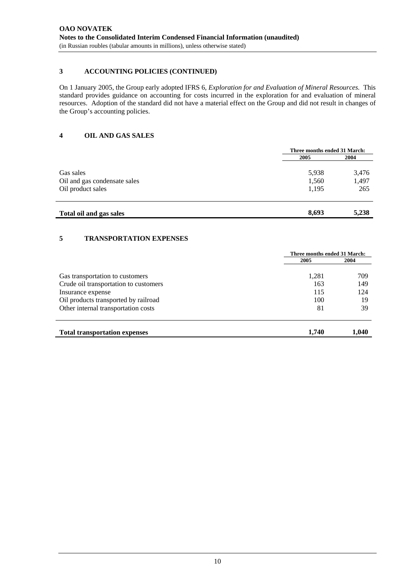# **3 ACCOUNTING POLICIES (CONTINUED)**

On 1 January 2005, the Group early adopted IFRS 6, *Exploration for and Evaluation of Mineral Resources.* This standard provides guidance on accounting for costs incurred in the exploration for and evaluation of mineral resources. Adoption of the standard did not have a material effect on the Group and did not result in changes of the Group's accounting policies.

# **4 OIL AND GAS SALES**

|                              | Three months ended 31 March: |       |
|------------------------------|------------------------------|-------|
|                              | 2005                         | 2004  |
| Gas sales                    | 5,938                        | 3,476 |
| Oil and gas condensate sales | 1,560                        | 1,497 |
| Oil product sales            | 1.195                        | 265   |
|                              |                              |       |

# **Total oil and gas sales 8,693 5,238**

# **5 TRANSPORTATION EXPENSES**

|                                       | Three months ended 31 March: |       |
|---------------------------------------|------------------------------|-------|
|                                       | 2005                         | 2004  |
| Gas transportation to customers       | 1,281                        | 709   |
| Crude oil transportation to customers | 163                          | 149   |
| Insurance expense                     | 115                          | 124   |
| Oil products transported by railroad  | 100                          | 19    |
| Other internal transportation costs   | 81                           | 39    |
| <b>Total transportation expenses</b>  | 1.740                        | 1,040 |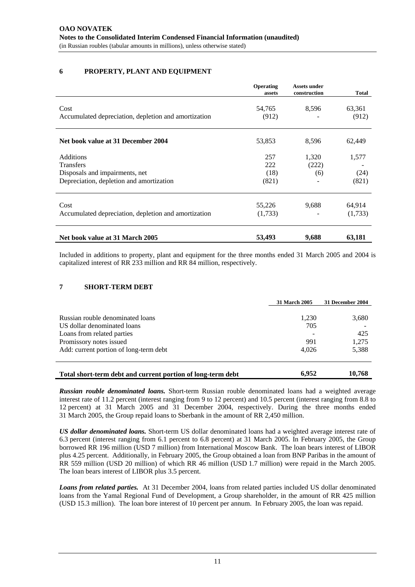# **6 PROPERTY, PLANT AND EQUIPMENT**

|                                                                            | Operating<br>assets | <b>Assets under</b><br>construction | Total           |
|----------------------------------------------------------------------------|---------------------|-------------------------------------|-----------------|
| Cost<br>Accumulated depreciation, depletion and amortization               | 54,765<br>(912)     | 8,596                               | 63,361<br>(912) |
| Net book value at 31 December 2004                                         | 53,853              | 8,596                               | 62,449          |
| <b>Additions</b><br><b>Transfers</b>                                       | 257<br>222          | 1,320<br>(222)                      | 1,577           |
| Disposals and impairments, net<br>Depreciation, depletion and amortization | (18)<br>(821)       | (6)                                 | (24)<br>(821)   |
| Cost                                                                       | 55,226              | 9,688                               | 64,914          |
| Accumulated depreciation, depletion and amortization                       | (1,733)             |                                     | (1,733)         |
| Net book value at 31 March 2005                                            | 53,493              | 9,688                               | 63,181          |

Included in additions to property, plant and equipment for the three months ended 31 March 2005 and 2004 is capitalized interest of RR 233 million and RR 84 million, respectively.

#### **7 SHORT-TERM DEBT**

|                                                                 | 31 March 2005 | 31 December 2004 |
|-----------------------------------------------------------------|---------------|------------------|
|                                                                 |               |                  |
| Russian rouble denominated loans<br>US dollar denominated loans | 1.230<br>705  | 3,680            |
| Loans from related parties                                      |               | 425              |
| Promissory notes issued                                         | 991           | 1,275            |
| Add: current portion of long-term debt                          | 4,026         | 5,388            |
|                                                                 |               |                  |
| Total short-term debt and current portion of long-term debt     | 6.952         | 10.768           |

*Russian rouble denominated loans.* Short-term Russian rouble denominated loans had a weighted average interest rate of 11.2 percent (interest ranging from 9 to 12 percent) and 10.5 percent (interest ranging from 8.8 to 12 percent) at 31 March 2005 and 31 December 2004, respectively. During the three months ended 31 March 2005, the Group repaid loans to Sberbank in the amount of RR 2,450 million.

*US dollar denominated loans.* Short-term US dollar denominated loans had a weighted average interest rate of 6.3 percent (interest ranging from 6.1 percent to 6.8 percent) at 31 March 2005. In February 2005, the Group borrowed RR 196 million (USD 7 million) from International Moscow Bank. The loan bears interest of LIBOR plus 4.25 percent. Additionally, in February 2005, the Group obtained a loan from BNP Paribas in the amount of RR 559 million (USD 20 million) of which RR 46 million (USD 1.7 million) were repaid in the March 2005. The loan bears interest of LIBOR plus 3.5 percent.

*Loans from related parties.*At 31 December 2004, loans from related parties included US dollar denominated loans from the Yamal Regional Fund of Development, a Group shareholder, in the amount of RR 425 million (USD 15.3 million). The loan bore interest of 10 percent per annum. In February 2005, the loan was repaid.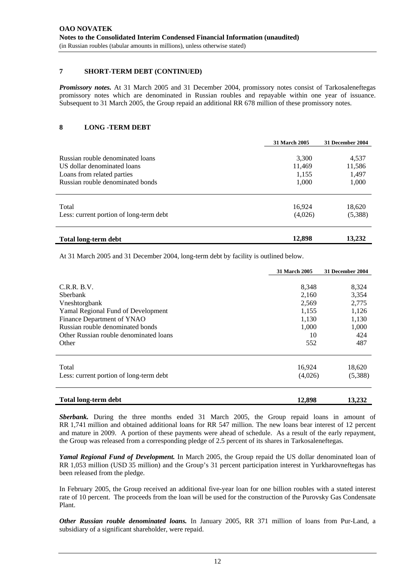#### **7 SHORT-TERM DEBT (CONTINUED)**

*Promissory notes.* At 31 March 2005 and 31 December 2004, promissory notes consist of Tarkosaleneftegas promissory notes which are denominated in Russian roubles and repayable within one year of issuance. Subsequent to 31 March 2005, the Group repaid an additional RR 678 million of these promissory notes.

#### **8 LONG -TERM DEBT**

|                                         | <b>31 March 2005</b> | 31 December 2004 |
|-----------------------------------------|----------------------|------------------|
| Russian rouble denominated loans        | 3,300                | 4,537            |
| US dollar denominated loans             | 11,469               | 11,586           |
| Loans from related parties              | 1,155                | 1,497            |
| Russian rouble denominated bonds        | 1,000                | 1,000            |
| Total                                   | 16,924               | 18,620           |
| Less: current portion of long-term debt | (4,026)              | (5,388)          |
| <b>Total long-term debt</b>             | 12,898               | 13,232           |

At 31 March 2005 and 31 December 2004, long-term debt by facility is outlined below.

|                                         | <b>31 March 2005</b> | 31 December 2004 |
|-----------------------------------------|----------------------|------------------|
|                                         |                      |                  |
| C.R.R. B.V.                             | 8,348                | 8,324            |
| <b>Sherbank</b>                         | 2,160                | 3,354            |
| Vneshtorgbank                           | 2,569                | 2,775            |
| Yamal Regional Fund of Development      | 1,155                | 1,126            |
| Finance Department of YNAO              | 1,130                | 1,130            |
| Russian rouble denominated bonds        | 1,000                | 1,000            |
| Other Russian rouble denominated loans  | 10                   | 424              |
| Other                                   | 552                  | 487              |
|                                         |                      |                  |
| Total                                   | 16,924               | 18,620           |
| Less: current portion of long-term debt | (4,026)              | (5,388)          |
| <b>Total long-term debt</b>             | 12,898               | 13,232           |

*Sberbank.* During the three months ended 31 March 2005, the Group repaid loans in amount of RR 1,741 million and obtained additional loans for RR 547 million. The new loans bear interest of 12 percent and mature in 2009. A portion of these payments were ahead of schedule. As a result of the early repayment, the Group was released from a corresponding pledge of 2.5 percent of its shares in Tarkosaleneftegas.

*Yamal Regional Fund of Development.* In March 2005, the Group repaid the US dollar denominated loan of RR 1,053 million (USD 35 million) and the Group's 31 percent participation interest in Yurkharovneftegas has been released from the pledge.

In February 2005, the Group received an additional five-year loan for one billion roubles with a stated interest rate of 10 percent. The proceeds from the loan will be used for the construction of the Purovsky Gas Condensate Plant.

*Other Russian rouble denominated loans.* In January 2005, RR 371 million of loans from Pur-Land, a subsidiary of a significant shareholder, were repaid.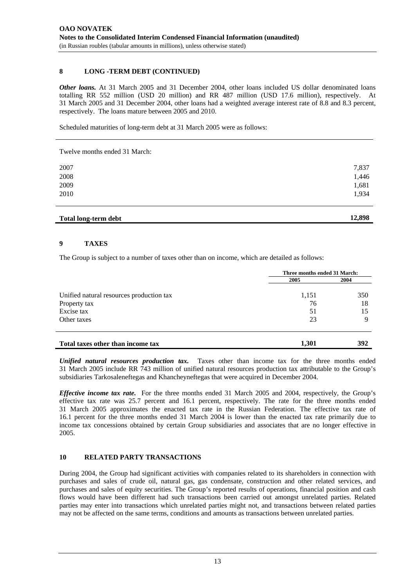## **8 LONG -TERM DEBT (CONTINUED)**

*Other loans.* At 31 March 2005 and 31 December 2004, other loans included US dollar denominated loans totalling RR 552 million (USD 20 million) and RR 487 million (USD 17.6 million), respectively. At 31 March 2005 and 31 December 2004, other loans had a weighted average interest rate of 8.8 and 8.3 percent, respectively. The loans mature between 2005 and 2010.

Scheduled maturities of long-term debt at 31 March 2005 were as follows:

Twelve months ended 31 March:

| Total long-term debt | 12,898 |
|----------------------|--------|
| 2010                 | 1,934  |
| 2009                 | 1,681  |
| 2008                 | 1,446  |
| 2007                 | 7,837  |
|                      |        |

# **9 TAXES**

The Group is subject to a number of taxes other than on income, which are detailed as follows:

|                                          | Three months ended 31 March: |      |  |
|------------------------------------------|------------------------------|------|--|
|                                          | 2005                         | 2004 |  |
| Unified natural resources production tax | 1,151                        | 350  |  |
| Property tax                             | 76                           | 18   |  |
| Excise tax                               | 51                           | 15   |  |
| Other taxes                              | 23                           | Q    |  |
| Total taxes other than income tax        | 1,301                        | 392  |  |

*Unified natural resources production tax.* Taxes other than income tax for the three months ended 31 March 2005 include RR 743 million of unified natural resources production tax attributable to the Group's subsidiaries Tarkosaleneftegas and Khancheyneftegas that were acquired in December 2004.

*Effective income tax rate.* For the three months ended 31 March 2005 and 2004, respectively, the Group's effective tax rate was 25.7 percent and 16.1 percent, respectively. The rate for the three months ended 31 March 2005 approximates the enacted tax rate in the Russian Federation. The effective tax rate of 16.1 percent for the three months ended 31 March 2004 is lower than the enacted tax rate primarily due to income tax concessions obtained by certain Group subsidiaries and associates that are no longer effective in 2005.

## **10 RELATED PARTY TRANSACTIONS**

During 2004, the Group had significant activities with companies related to its shareholders in connection with purchases and sales of crude oil, natural gas, gas condensate, construction and other related services, and purchases and sales of equity securities. The Group's reported results of operations, financial position and cash flows would have been different had such transactions been carried out amongst unrelated parties. Related parties may enter into transactions which unrelated parties might not, and transactions between related parties may not be affected on the same terms, conditions and amounts as transactions between unrelated parties.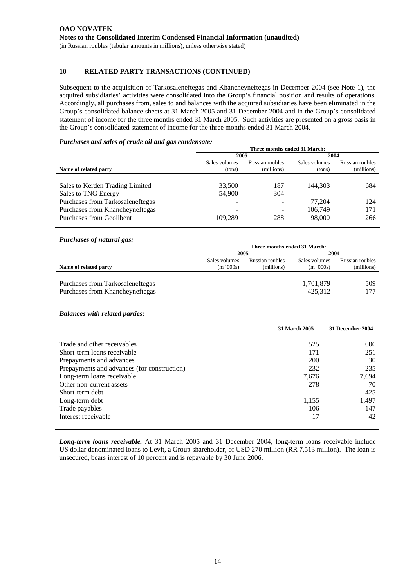# **10 RELATED PARTY TRANSACTIONS (CONTINUED)**

Subsequent to the acquisition of Tarkosaleneftegas and Khancheyneftegas in December 2004 (see Note 1), the acquired subsidiaries' activities were consolidated into the Group's financial position and results of operations. Accordingly, all purchases from, sales to and balances with the acquired subsidiaries have been eliminated in the Group's consolidated balance sheets at 31 March 2005 and 31 December 2004 and in the Group's consolidated statement of income for the three months ended 31 March 2005. Such activities are presented on a gross basis in the Group's consolidated statement of income for the three months ended 31 March 2004.

#### *Purchases and sales of crude oil and gas condensate:*

|                                  | Three months ended 31 March: |                 |               |                 |
|----------------------------------|------------------------------|-----------------|---------------|-----------------|
|                                  | 2005                         |                 | 2004          |                 |
|                                  | Sales volumes                | Russian roubles | Sales volumes | Russian roubles |
| Name of related party            | (tons)                       | (millions)      | (tons)        | (millions)      |
|                                  |                              |                 |               |                 |
| Sales to Kerden Trading Limited  | 33,500                       | 187             | 144,303       | 684             |
| Sales to TNG Energy              | 54,900                       | 304             |               |                 |
| Purchases from Tarkosaleneftegas |                              | -               | 77.204        | 124             |
| Purchases from Khancheyneftegas  |                              | -               | 106.749       | 171             |
| Purchases from Geoilbent         | 109,289                      | 288             | 98,000        | 266             |

#### *Purchases of natural gas:*

|                                  | Three months ended 31 March: |                          |               |                 |
|----------------------------------|------------------------------|--------------------------|---------------|-----------------|
|                                  | 2005                         |                          | 2004          |                 |
| Name of related party            | Sales volumes                | Russian roubles          | Sales volumes | Russian roubles |
|                                  | $(m^3 000s)$                 | (millions)               | $(m^3 000s)$  | (millions)      |
| Purchases from Tarkosaleneftegas | -                            | $\overline{\phantom{a}}$ | 1,701,879     | 509             |
| Purchases from Khancheyneftegas  | -                            | $\overline{\phantom{a}}$ | 425,312       | 177             |

#### *Balances with related parties:*

|                                             | 31 March 2005 | 31 December 2004 |
|---------------------------------------------|---------------|------------------|
|                                             |               |                  |
| Trade and other receivables                 | 525           | 606              |
| Short-term loans receivable                 | 171           | 251              |
| Prepayments and advances                    | <b>200</b>    | 30               |
| Prepayments and advances (for construction) | 232           | 235              |
| Long-term loans receivable                  | 7,676         | 7,694            |
| Other non-current assets                    | 278           | 70               |
| Short-term debt                             |               | 425              |
| Long-term debt                              | 1,155         | 1,497            |
| Trade payables                              | 106           | 147              |
| Interest receivable                         | 17            | 42               |
|                                             |               |                  |

*Long-term loans receivable.* At 31 March 2005 and 31 December 2004, long-term loans receivable include US dollar denominated loans to Levit, a Group shareholder, of USD 270 million (RR 7,513 million). The loan is unsecured, bears interest of 10 percent and is repayable by 30 June 2006.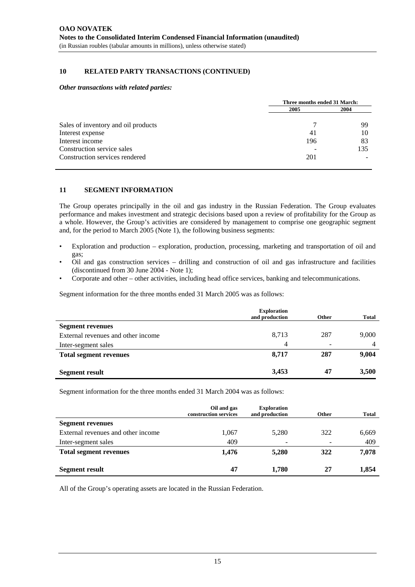# **10 RELATED PARTY TRANSACTIONS (CONTINUED)**

#### *Other transactions with related parties:*

|                                     | Three months ended 31 March: |     |  |
|-------------------------------------|------------------------------|-----|--|
|                                     | 2005                         |     |  |
| Sales of inventory and oil products |                              | 99  |  |
| Interest expense                    | 41                           | 10  |  |
| Interest income                     | 196                          | 83  |  |
| Construction service sales          |                              | 135 |  |
| Construction services rendered      | 201                          |     |  |

#### **11 SEGMENT INFORMATION**

The Group operates principally in the oil and gas industry in the Russian Federation. The Group evaluates performance and makes investment and strategic decisions based upon a review of profitability for the Group as a whole. However, the Group's activities are considered by management to comprise one geographic segment and, for the period to March 2005 (Note 1), the following business segments:

- Exploration and production exploration, production, processing, marketing and transportation of oil and gas;
- Oil and gas construction services drilling and construction of oil and gas infrastructure and facilities (discontinued from 30 June 2004 - Note 1);
- Corporate and other other activities, including head office services, banking and telecommunications.

Segment information for the three months ended 31 March 2005 was as follows:

|                                    | <b>Exploration</b><br>and production | <b>Other</b>             | <b>Total</b> |
|------------------------------------|--------------------------------------|--------------------------|--------------|
| <b>Segment revenues</b>            |                                      |                          |              |
| External revenues and other income | 8,713                                | 287                      | 9,000        |
| Inter-segment sales                | 4                                    | $\overline{\phantom{a}}$ | 4            |
| <b>Total segment revenues</b>      | 8,717                                | 287                      | 9,004        |
| <b>Segment result</b>              | 3,453                                | 47                       | 3,500        |

Segment information for the three months ended 31 March 2004 was as follows:

|                                    | Oil and gas<br>construction services | <b>Exploration</b><br>and production | Other                    | <b>Total</b> |
|------------------------------------|--------------------------------------|--------------------------------------|--------------------------|--------------|
| <b>Segment revenues</b>            |                                      |                                      |                          |              |
| External revenues and other income | 1,067                                | 5,280                                | 322                      | 6,669        |
| Inter-segment sales                | 409                                  | $\overline{\phantom{0}}$             | $\overline{\phantom{a}}$ | 409          |
| <b>Total segment revenues</b>      | 1,476                                | 5,280                                | 322                      | 7,078        |
| <b>Segment result</b>              | 47                                   | 1,780                                | 27                       | 1,854        |

All of the Group's operating assets are located in the Russian Federation.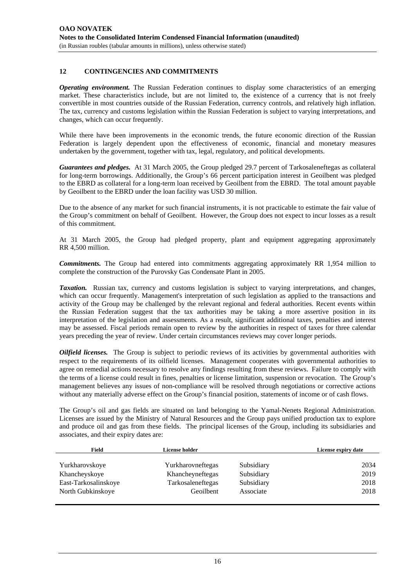# **12 CONTINGENCIES AND COMMITMENTS**

*Operating environment.* The Russian Federation continues to display some characteristics of an emerging market. These characteristics include, but are not limited to, the existence of a currency that is not freely convertible in most countries outside of the Russian Federation, currency controls, and relatively high inflation. The tax, currency and customs legislation within the Russian Federation is subject to varying interpretations, and changes, which can occur frequently.

While there have been improvements in the economic trends, the future economic direction of the Russian Federation is largely dependent upon the effectiveness of economic, financial and monetary measures undertaken by the government, together with tax, legal, regulatory, and political developments.

*Guarantees and pledges.* At 31 March 2005, the Group pledged 29.7 percent of Tarkosaleneftegas as collateral for long-term borrowings. Additionally, the Group's 66 percent participation interest in Geoilbent was pledged to the EBRD as collateral for a long-term loan received by Geoilbent from the EBRD. The total amount payable by Geoilbent to the EBRD under the loan facility was USD 30 million.

Due to the absence of any market for such financial instruments, it is not practicable to estimate the fair value of the Group's commitment on behalf of Geoilbent. However, the Group does not expect to incur losses as a result of this commitment.

At 31 March 2005, the Group had pledged property, plant and equipment aggregating approximately RR 4,500 million.

*Commitments.* The Group had entered into commitments aggregating approximately RR 1,954 million to complete the construction of the Purovsky Gas Condensate Plant in 2005.

*Taxation.* Russian tax, currency and customs legislation is subject to varying interpretations, and changes, which can occur frequently. Management's interpretation of such legislation as applied to the transactions and activity of the Group may be challenged by the relevant regional and federal authorities. Recent events within the Russian Federation suggest that the tax authorities may be taking a more assertive position in its interpretation of the legislation and assessments. As a result, significant additional taxes, penalties and interest may be assessed. Fiscal periods remain open to review by the authorities in respect of taxes for three calendar years preceding the year of review. Under certain circumstances reviews may cover longer periods.

*Oilfield licenses.* The Group is subject to periodic reviews of its activities by governmental authorities with respect to the requirements of its oilfield licenses. Management cooperates with governmental authorities to agree on remedial actions necessary to resolve any findings resulting from these reviews. Failure to comply with the terms of a license could result in fines, penalties or license limitation, suspension or revocation. The Group's management believes any issues of non-compliance will be resolved through negotiations or corrective actions without any materially adverse effect on the Group's financial position, statements of income or of cash flows.

The Group's oil and gas fields are situated on land belonging to the Yamal-Nenets Regional Administration. Licenses are issued by the Ministry of Natural Resources and the Group pays unified production tax to explore and produce oil and gas from these fields. The principal licenses of the Group, including its subsidiaries and associates, and their expiry dates are:

| Field                | License holder    |            | License expiry date |
|----------------------|-------------------|------------|---------------------|
|                      |                   |            |                     |
| Yurkharovskoye       | Yurkharovneftegas | Subsidiary | 2034                |
| Khancheyskoye        | Khancheyneftegas  | Subsidiary | 2019                |
| East-Tarkosalinskoye | Tarkosaleneftegas | Subsidiary | 2018                |
| North Gubkinskoye    | Geoilbent         | Associate  | 2018                |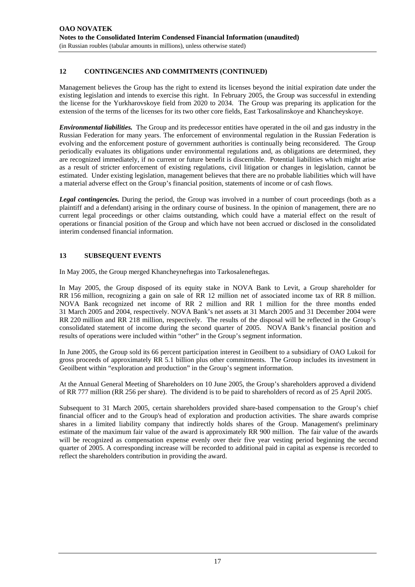# **12 CONTINGENCIES AND COMMITMENTS (CONTINUED)**

Management believes the Group has the right to extend its licenses beyond the initial expiration date under the existing legislation and intends to exercise this right. In February 2005, the Group was successful in extending the license for the Yurkharovskoye field from 2020 to 2034. The Group was preparing its application for the extension of the terms of the licenses for its two other core fields, East Tarkosalinskoye and Khancheyskoye.

*Environmental liabilities.* The Group and its predecessor entities have operated in the oil and gas industry in the Russian Federation for many years. The enforcement of environmental regulation in the Russian Federation is evolving and the enforcement posture of government authorities is continually being reconsidered. The Group periodically evaluates its obligations under environmental regulations and, as obligations are determined, they are recognized immediately, if no current or future benefit is discernible. Potential liabilities which might arise as a result of stricter enforcement of existing regulations, civil litigation or changes in legislation, cannot be estimated. Under existing legislation, management believes that there are no probable liabilities which will have a material adverse effect on the Group's financial position, statements of income or of cash flows.

*Legal contingencies.* During the period, the Group was involved in a number of court proceedings (both as a plaintiff and a defendant) arising in the ordinary course of business. In the opinion of management, there are no current legal proceedings or other claims outstanding, which could have a material effect on the result of operations or financial position of the Group and which have not been accrued or disclosed in the consolidated interim condensed financial information.

# **13 SUBSEQUENT EVENTS**

In May 2005, the Group merged Khancheyneftegas into Tarkosaleneftegas.

In May 2005, the Group disposed of its equity stake in NOVA Bank to Levit, a Group shareholder for RR 156 million, recognizing a gain on sale of RR 12 million net of associated income tax of RR 8 million. NOVA Bank recognized net income of RR 2 million and RR 1 million for the three months ended 31 March 2005 and 2004, respectively. NOVA Bank's net assets at 31 March 2005 and 31 December 2004 were RR 220 million and RR 218 million, respectively. The results of the disposal will be reflected in the Group's consolidated statement of income during the second quarter of 2005. NOVA Bank's financial position and results of operations were included within "other" in the Group's segment information.

In June 2005, the Group sold its 66 percent participation interest in Geoilbent to a subsidiary of OAO Lukoil for gross proceeds of approximately RR 5.1 billion plus other commitments. The Group includes its investment in Geoilbent within "exploration and production" in the Group's segment information.

At the Annual General Meeting of Shareholders on 10 June 2005, the Group's shareholders approved a dividend of RR 777 million (RR 256 per share). The dividend is to be paid to shareholders of record as of 25 April 2005.

Subsequent to 31 March 2005, certain shareholders provided share-based compensation to the Group's chief financial officer and to the Group's head of exploration and production activities. The share awards comprise shares in a limited liability company that indirectly holds shares of the Group. Management's preliminary estimate of the maximum fair value of the award is approximately RR 900 million. The fair value of the awards will be recognized as compensation expense evenly over their five year vesting period beginning the second quarter of 2005. A corresponding increase will be recorded to additional paid in capital as expense is recorded to reflect the shareholders contribution in providing the award.